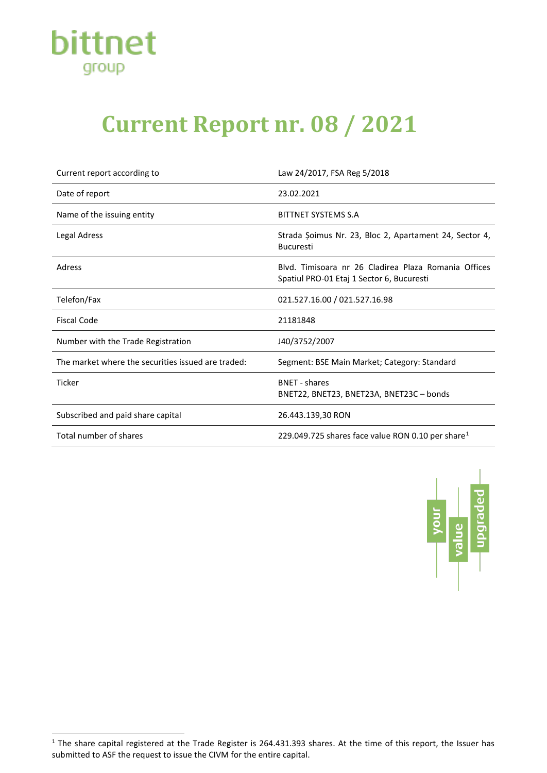

## **Current Report nr. 08 / 2021**

| Current report according to                        | Law 24/2017, FSA Reg 5/2018                                                                       |
|----------------------------------------------------|---------------------------------------------------------------------------------------------------|
| Date of report                                     | 23.02.2021                                                                                        |
| Name of the issuing entity                         | BITTNET SYSTEMS S.A                                                                               |
| <b>Legal Adress</b>                                | Strada Șoimus Nr. 23, Bloc 2, Apartament 24, Sector 4,<br><b>Bucuresti</b>                        |
| Adress                                             | Blyd. Timisoara nr 26 Cladirea Plaza Romania Offices<br>Spatiul PRO-01 Etaj 1 Sector 6, Bucuresti |
| Telefon/Fax                                        | 021.527.16.00 / 021.527.16.98                                                                     |
| <b>Fiscal Code</b>                                 | 21181848                                                                                          |
| Number with the Trade Registration                 | J40/3752/2007                                                                                     |
| The market where the securities issued are traded: | Segment: BSE Main Market; Category: Standard                                                      |
| <b>Ticker</b>                                      | <b>BNFT</b> - shares<br>BNET22, BNET23, BNET23A, BNET23C - bonds                                  |
| Subscribed and paid share capital                  | 26.443.139,30 RON                                                                                 |
| Total number of shares                             | 229.049.725 shares face value RON 0.10 per share <sup>1</sup>                                     |



<span id="page-0-0"></span> $1$  The share capital registered at the Trade Register is 264.431.393 shares. At the time of this report, the Issuer has submitted to ASF the request to issue the CIVM for the entire capital.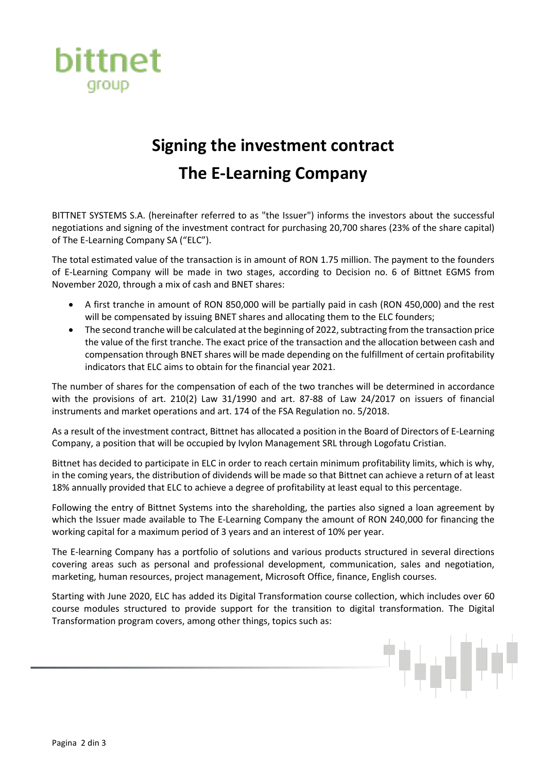

## **Signing the investment contract The E-Learning Company**

BITTNET SYSTEMS S.A. (hereinafter referred to as "the Issuer") informs the investors about the successful negotiations and signing of the investment contract for purchasing 20,700 shares (23% of the share capital) of The E-Learning Company SA ("ELC").

The total estimated value of the transaction is in amount of RON 1.75 million. The payment to the founders of E-Learning Company will be made in two stages, according to Decision no. 6 of Bittnet EGMS from November 2020, through a mix of cash and BNET shares:

- A first tranche in amount of RON 850,000 will be partially paid in cash (RON 450,000) and the rest will be compensated by issuing BNET shares and allocating them to the ELC founders;
- The second tranche will be calculated at the beginning of 2022, subtracting from the transaction price the value of the first tranche. The exact price of the transaction and the allocation between cash and compensation through BNET shares will be made depending on the fulfillment of certain profitability indicators that ELC aims to obtain for the financial year 2021.

The number of shares for the compensation of each of the two tranches will be determined in accordance with the provisions of art. 210(2) Law 31/1990 and art. 87-88 of Law 24/2017 on issuers of financial instruments and market operations and art. 174 of the FSA Regulation no. 5/2018.

As a result of the investment contract, Bittnet has allocated a position in the Board of Directors of E-Learning Company, a position that will be occupied by Ivylon Management SRL through Logofatu Cristian.

Bittnet has decided to participate in ELC in order to reach certain minimum profitability limits, which is why, in the coming years, the distribution of dividends will be made so that Bittnet can achieve a return of at least 18% annually provided that ELC to achieve a degree of profitability at least equal to this percentage.

Following the entry of Bittnet Systems into the shareholding, the parties also signed a loan agreement by which the Issuer made available to The E-Learning Company the amount of RON 240,000 for financing the working capital for a maximum period of 3 years and an interest of 10% per year.

The E-learning Company has a portfolio of solutions and various products structured in several directions covering areas such as personal and professional development, communication, sales and negotiation, marketing, human resources, project management, Microsoft Office, finance, English courses.

Starting with June 2020, ELC has added its Digital Transformation course collection, which includes over 60 course modules structured to provide support for the transition to digital transformation. The Digital Transformation program covers, among other things, topics such as: